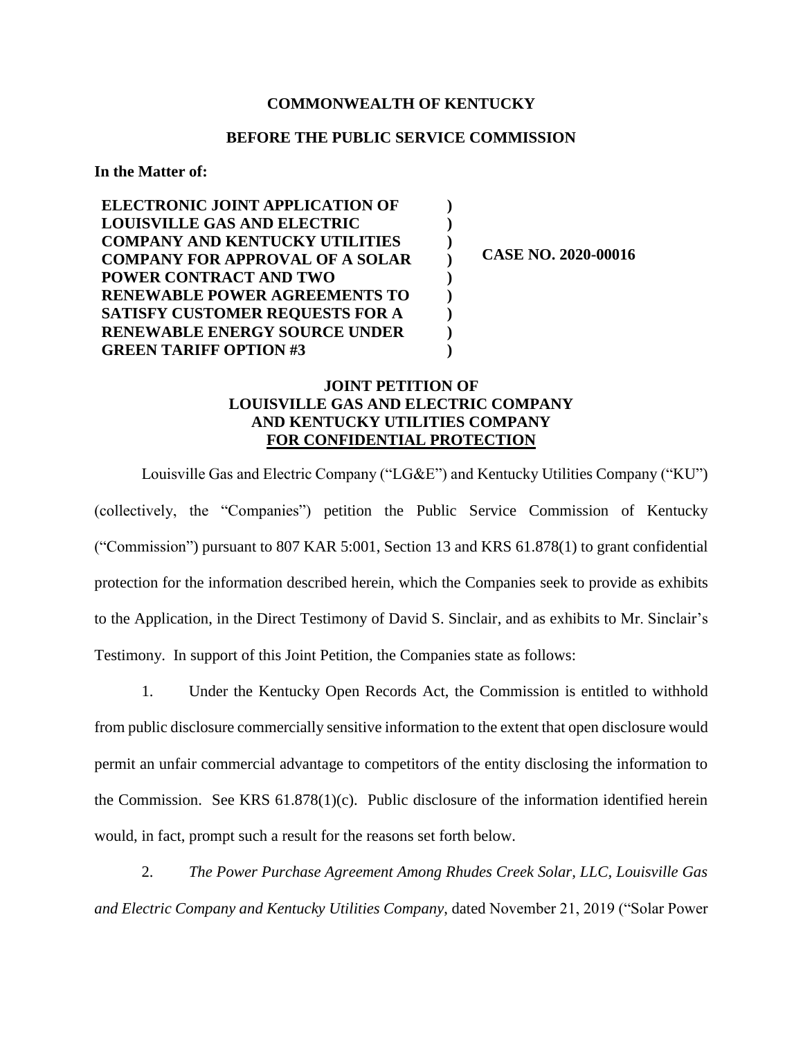## **COMMONWEALTH OF KENTUCKY**

## **BEFORE THE PUBLIC SERVICE COMMISSION**

**) ) ) ) ) ) ) ) )**

**In the Matter of:**

**ELECTRONIC JOINT APPLICATION OF LOUISVILLE GAS AND ELECTRIC COMPANY AND KENTUCKY UTILITIES COMPANY FOR APPROVAL OF A SOLAR POWER CONTRACT AND TWO RENEWABLE POWER AGREEMENTS TO SATISFY CUSTOMER REQUESTS FOR A RENEWABLE ENERGY SOURCE UNDER GREEN TARIFF OPTION #3**

**CASE NO. 2020-00016**

## **JOINT PETITION OF LOUISVILLE GAS AND ELECTRIC COMPANY AND KENTUCKY UTILITIES COMPANY FOR CONFIDENTIAL PROTECTION**

Louisville Gas and Electric Company ("LG&E") and Kentucky Utilities Company ("KU") (collectively, the "Companies") petition the Public Service Commission of Kentucky ("Commission") pursuant to 807 KAR 5:001, Section 13 and KRS 61.878(1) to grant confidential protection for the information described herein, which the Companies seek to provide as exhibits to the Application, in the Direct Testimony of David S. Sinclair, and as exhibits to Mr. Sinclair's Testimony. In support of this Joint Petition, the Companies state as follows:

1. Under the Kentucky Open Records Act, the Commission is entitled to withhold from public disclosure commercially sensitive information to the extent that open disclosure would permit an unfair commercial advantage to competitors of the entity disclosing the information to the Commission. See KRS 61.878(1)(c). Public disclosure of the information identified herein would, in fact, prompt such a result for the reasons set forth below.

2. *The Power Purchase Agreement Among Rhudes Creek Solar, LLC, Louisville Gas and Electric Company and Kentucky Utilities Company*, dated November 21, 2019 ("Solar Power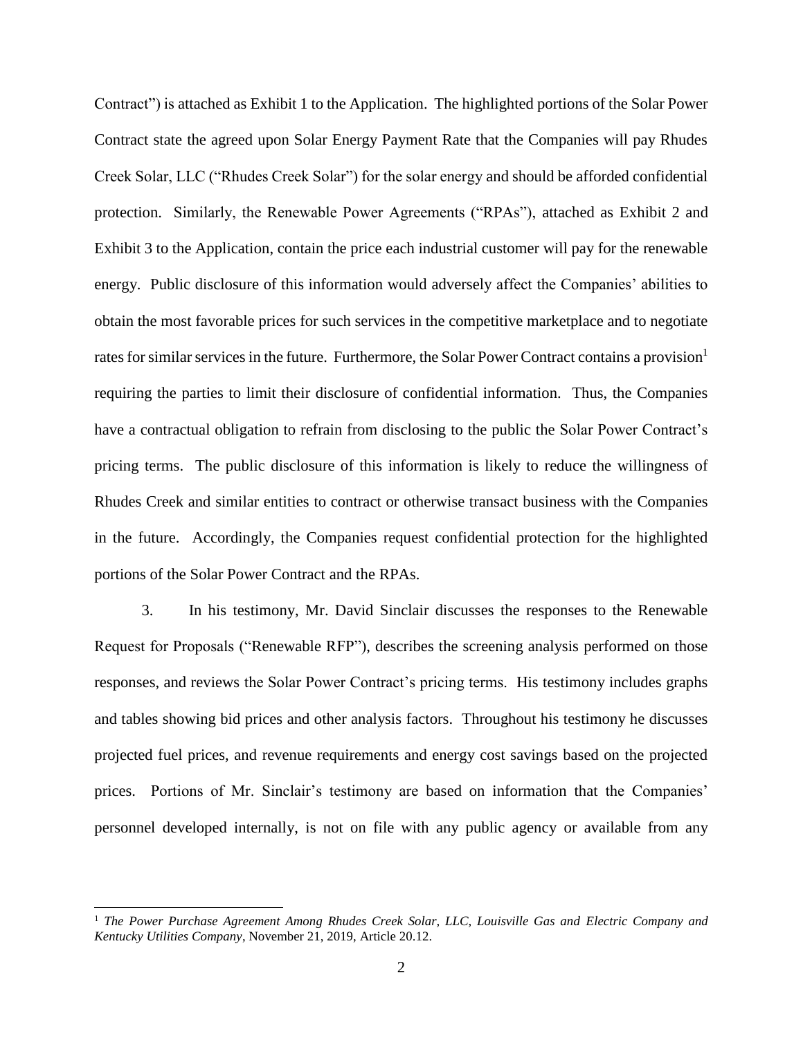Contract") is attached as Exhibit 1 to the Application. The highlighted portions of the Solar Power Contract state the agreed upon Solar Energy Payment Rate that the Companies will pay Rhudes Creek Solar, LLC ("Rhudes Creek Solar") for the solar energy and should be afforded confidential protection. Similarly, the Renewable Power Agreements ("RPAs"), attached as Exhibit 2 and Exhibit 3 to the Application, contain the price each industrial customer will pay for the renewable energy. Public disclosure of this information would adversely affect the Companies' abilities to obtain the most favorable prices for such services in the competitive marketplace and to negotiate rates for similar services in the future. Furthermore, the Solar Power Contract contains a provision<sup>1</sup> requiring the parties to limit their disclosure of confidential information. Thus, the Companies have a contractual obligation to refrain from disclosing to the public the Solar Power Contract's pricing terms. The public disclosure of this information is likely to reduce the willingness of Rhudes Creek and similar entities to contract or otherwise transact business with the Companies in the future. Accordingly, the Companies request confidential protection for the highlighted portions of the Solar Power Contract and the RPAs.

3. In his testimony, Mr. David Sinclair discusses the responses to the Renewable Request for Proposals ("Renewable RFP"), describes the screening analysis performed on those responses, and reviews the Solar Power Contract's pricing terms. His testimony includes graphs and tables showing bid prices and other analysis factors. Throughout his testimony he discusses projected fuel prices, and revenue requirements and energy cost savings based on the projected prices. Portions of Mr. Sinclair's testimony are based on information that the Companies' personnel developed internally, is not on file with any public agency or available from any

 $\overline{a}$ 

<sup>1</sup> *The Power Purchase Agreement Among Rhudes Creek Solar, LLC, Louisville Gas and Electric Company and Kentucky Utilities Company*, November 21, 2019, Article 20.12.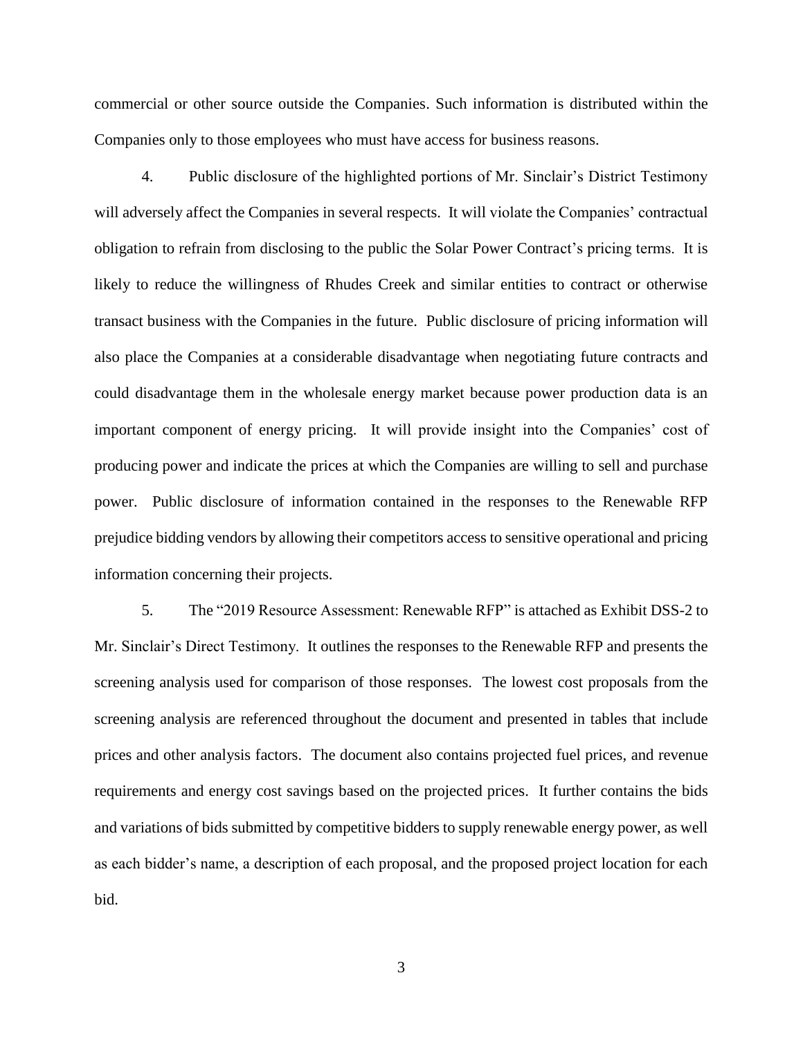commercial or other source outside the Companies. Such information is distributed within the Companies only to those employees who must have access for business reasons.

4. Public disclosure of the highlighted portions of Mr. Sinclair's District Testimony will adversely affect the Companies in several respects. It will violate the Companies' contractual obligation to refrain from disclosing to the public the Solar Power Contract's pricing terms. It is likely to reduce the willingness of Rhudes Creek and similar entities to contract or otherwise transact business with the Companies in the future. Public disclosure of pricing information will also place the Companies at a considerable disadvantage when negotiating future contracts and could disadvantage them in the wholesale energy market because power production data is an important component of energy pricing. It will provide insight into the Companies' cost of producing power and indicate the prices at which the Companies are willing to sell and purchase power. Public disclosure of information contained in the responses to the Renewable RFP prejudice bidding vendors by allowing their competitors access to sensitive operational and pricing information concerning their projects.

5. The "2019 Resource Assessment: Renewable RFP" is attached as Exhibit DSS-2 to Mr. Sinclair's Direct Testimony. It outlines the responses to the Renewable RFP and presents the screening analysis used for comparison of those responses. The lowest cost proposals from the screening analysis are referenced throughout the document and presented in tables that include prices and other analysis factors. The document also contains projected fuel prices, and revenue requirements and energy cost savings based on the projected prices. It further contains the bids and variations of bids submitted by competitive bidders to supply renewable energy power, as well as each bidder's name, a description of each proposal, and the proposed project location for each bid.

3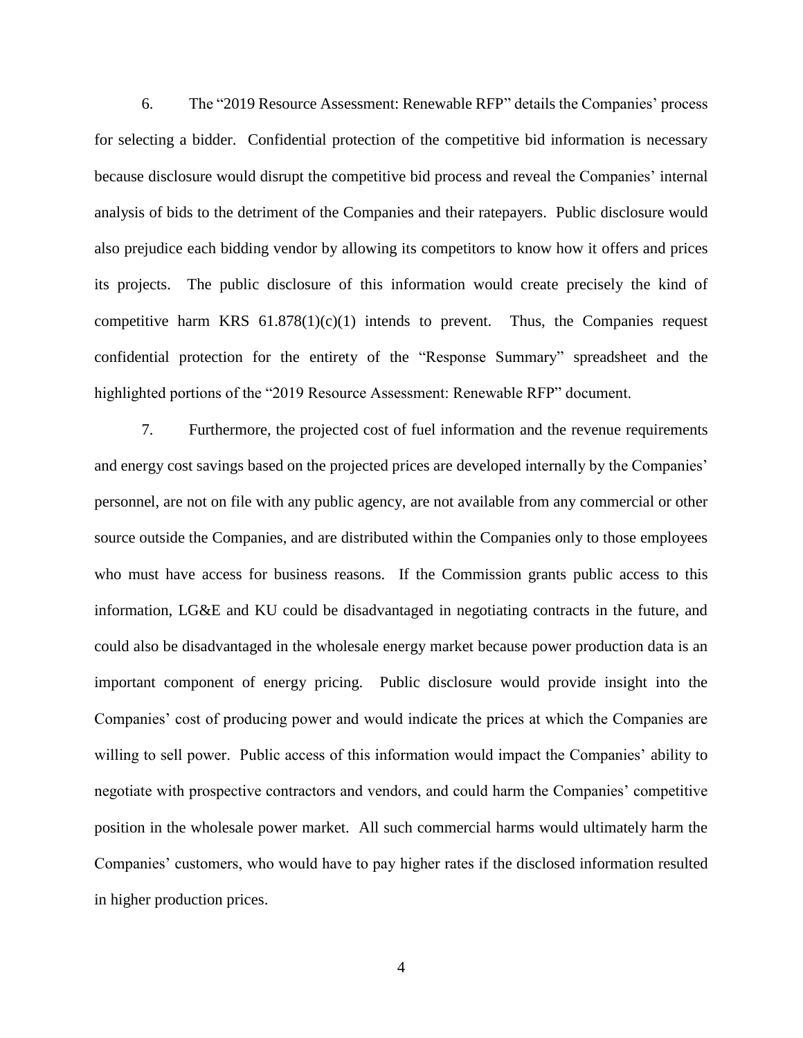6. The "2019 Resource Assessment: Renewable RFP" details the Companies' process for selecting a bidder. Confidential protection of the competitive bid information is necessary because disclosure would disrupt the competitive bid process and reveal the Companies' internal analysis of bids to the detriment of the Companies and their ratepayers. Public disclosure would also prejudice each bidding vendor by allowing its competitors to know how it offers and prices its projects. The public disclosure of this information would create precisely the kind of competitive harm KRS  $61.878(1)(c)(1)$  intends to prevent. Thus, the Companies request confidential protection for the entirety of the "Response Summary" spreadsheet and the highlighted portions of the "2019 Resource Assessment: Renewable RFP" document.

7. Furthermore, the projected cost of fuel information and the revenue requirements and energy cost savings based on the projected prices are developed internally by the Companies' personnel, are not on file with any public agency, are not available from any commercial or other source outside the Companies, and are distributed within the Companies only to those employees who must have access for business reasons. If the Commission grants public access to this information, LG&E and KU could be disadvantaged in negotiating contracts in the future, and could also be disadvantaged in the wholesale energy market because power production data is an important component of energy pricing. Public disclosure would provide insight into the Companies' cost of producing power and would indicate the prices at which the Companies are willing to sell power. Public access of this information would impact the Companies' ability to negotiate with prospective contractors and vendors, and could harm the Companies' competitive position in the wholesale power market. All such commercial harms would ultimately harm the Companies' customers, who would have to pay higher rates if the disclosed information resulted in higher production prices.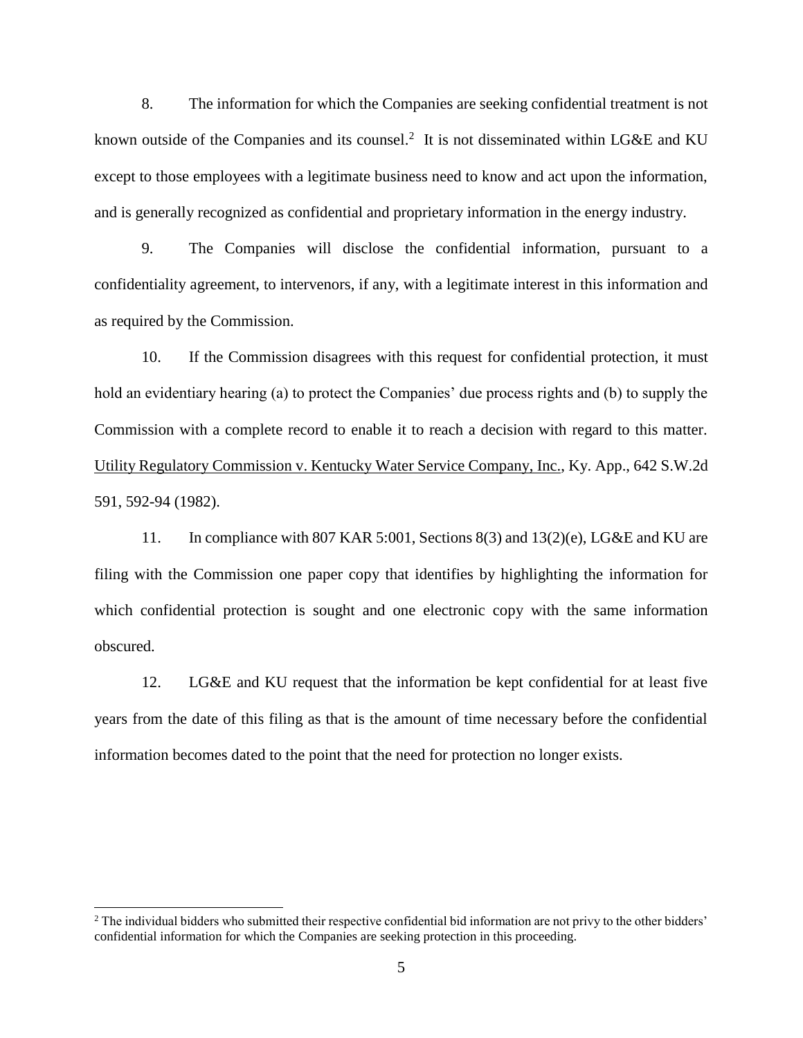8. The information for which the Companies are seeking confidential treatment is not known outside of the Companies and its counsel.<sup>2</sup> It is not disseminated within LG&E and KU except to those employees with a legitimate business need to know and act upon the information, and is generally recognized as confidential and proprietary information in the energy industry.

9. The Companies will disclose the confidential information, pursuant to a confidentiality agreement, to intervenors, if any, with a legitimate interest in this information and as required by the Commission.

10. If the Commission disagrees with this request for confidential protection, it must hold an evidentiary hearing (a) to protect the Companies' due process rights and (b) to supply the Commission with a complete record to enable it to reach a decision with regard to this matter. Utility Regulatory Commission v. Kentucky Water Service Company, Inc., Ky. App., 642 S.W.2d 591, 592-94 (1982).

11. In compliance with 807 KAR 5:001, Sections 8(3) and 13(2)(e), LG&E and KU are filing with the Commission one paper copy that identifies by highlighting the information for which confidential protection is sought and one electronic copy with the same information obscured.

12. LG&E and KU request that the information be kept confidential for at least five years from the date of this filing as that is the amount of time necessary before the confidential information becomes dated to the point that the need for protection no longer exists.

 $\overline{a}$ 

<sup>&</sup>lt;sup>2</sup> The individual bidders who submitted their respective confidential bid information are not privy to the other bidders' confidential information for which the Companies are seeking protection in this proceeding.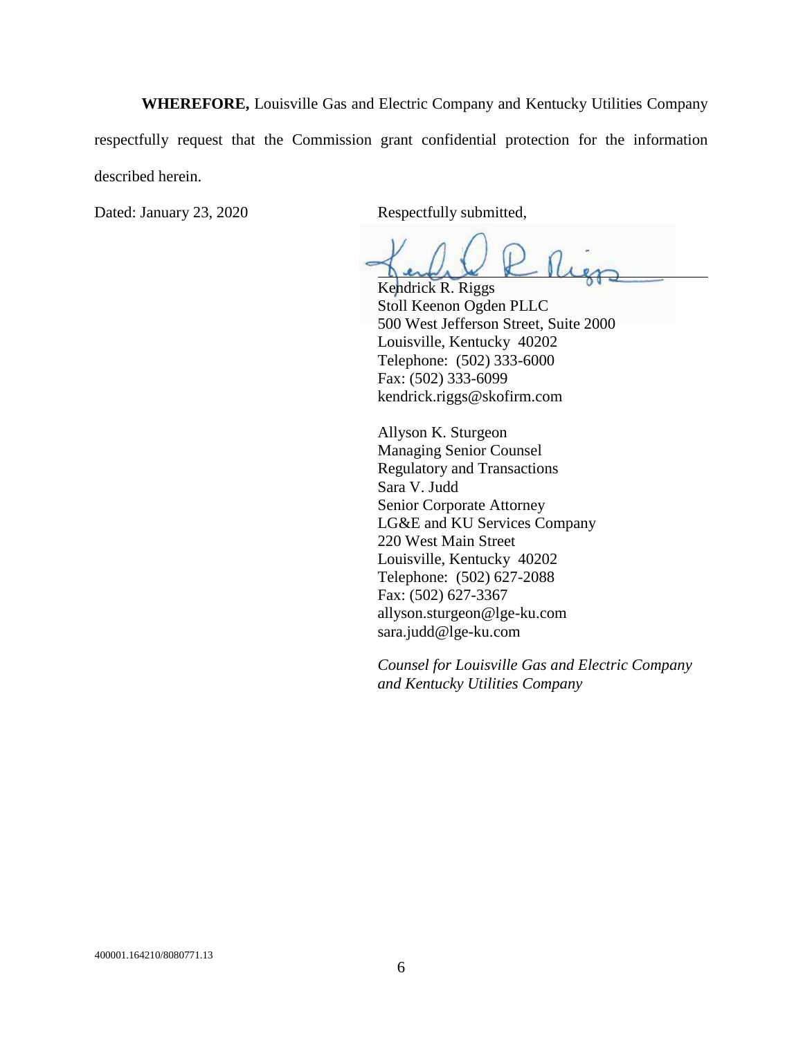**WHEREFORE,** Louisville Gas and Electric Company and Kentucky Utilities Company respectfully request that the Commission grant confidential protection for the information described herein.

Dated: January 23, 2020 Respectfully submitted,

Kendrick R. Riggs Stoll Keenon Ogden PLLC 500 West Jefferson Street, Suite 2000 Louisville, Kentucky 40202 Telephone: (502) 333-6000 Fax: (502) 333-6099 kendrick.riggs@skofirm.com

Allyson K. Sturgeon Managing Senior Counsel Regulatory and Transactions Sara V. Judd Senior Corporate Attorney LG&E and KU Services Company 220 West Main Street Louisville, Kentucky 40202 Telephone: (502) 627-2088 Fax: (502) 627-3367 allyson.sturgeon@lge-ku.com sara.judd@lge-ku.com

*Counsel for Louisville Gas and Electric Company and Kentucky Utilities Company*